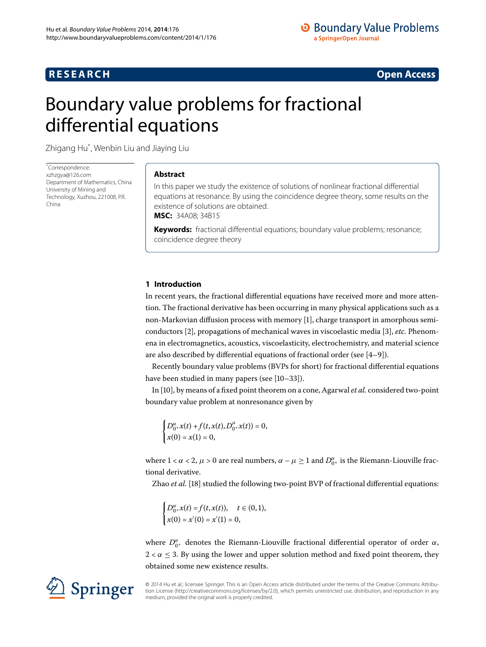## **RESEARCH CONSIDERED ACCESS**

# <span id="page-0-0"></span>Boundary value problems for fractional differential equations

Zhigang Hu[\\*](#page-0-0) , Wenbin Liu and Jiaying Liu

\* Correspondence: [xzhzgya@126.com](mailto:xzhzgya@126.com) Department of Mathematics, China University of Mining and Technology, Xuzhou, 221008, P.R. China

## **Abstract**

In this paper we study the existence of solutions of nonlinear fractional differential equations at resonance. By using the coincidence degree theory, some results on the existence of solutions are obtained. **MSC:** 34A08; 34B15

**Keywords:** fractional differential equations; boundary value problems; resonance; coincidence degree theory

## **1 Introduction**

In recent years, the fractional differential equations have received more and more attention. The fractional derivative has been occurring in many physical applications such as a non-Markovian diffusion process with memory [\[\]](#page-9-0), charge transport in amorphous semiconductors [[\]](#page-9-1), propagations of mechanical waves in viscoelastic media [[\]](#page-9-2), *etc.* Phenomena in electromagnetics, acoustics, viscoelasticity, electrochemistry, and material science are also described by differential equations of fractional order (see  $[4-9]$ ).

Recently boundary value problems (BVPs for short) for fractional differential equations have been studied in many papers (see  $[10-33]$ ).

In [], by means of a fixed point theorem on a cone, Agarwal *et al.* considered two-point boundary value problem at nonresonance given by

$$
\begin{cases} D_{0^+}^{\alpha}x(t) + f(t, x(t), D_{0^+}^{\mu}x(t)) = 0, \\ x(0) = x(1) = 0, \end{cases}
$$

where  $1 < \alpha < 2$ ,  $\mu > 0$  are real numbers,  $\alpha - \mu \ge 1$  and  $D_{0^+}^{\alpha}$  is the Riemann-Liouville fractional derivative.

Zhao *et al.* [\[](#page-10-3)18] studied the following two-point BVP of fractional differential equations:

$$
\begin{cases} D_{0+}^{\alpha}x(t) = f(t,x(t)), & t \in (0,1),\\ x(0) = x'(0) = x'(1) = 0, \end{cases}
$$

where *D<sup>α</sup>* + denotes the Riemann-Liouville fractional differential operator of order *α*,  $2 < \alpha \leq 3$ . By using the lower and upper solution method and fixed point theorem, they obtained some new existence results.

© 2014 Hu et al.; licensee Springer. This is an Open Access article distributed under the terms of the Creative Commons Attribution License (http://creativecommons.org/licenses/by/2.0), which permits unrestricted use, distribution, and reproduction in any medium, provided the original work is properly credited.

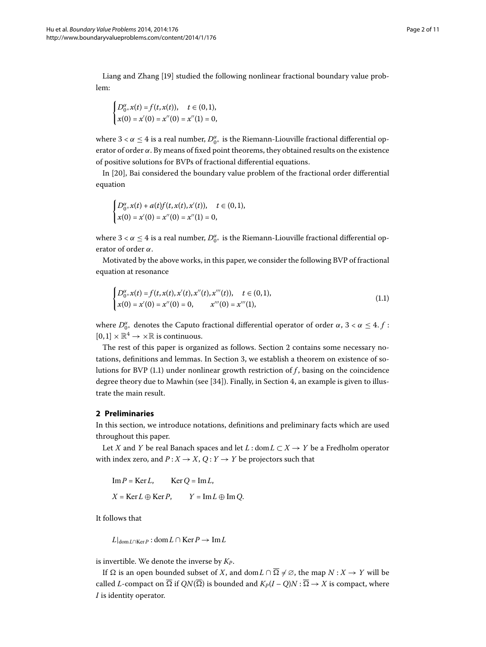Liang and Zhang [19[\]](#page-10-4) studied the following nonlinear fractional boundary value problem:

$$
\begin{cases} D_{0^+}^{\alpha}x(t) = f(t, x(t)), & t \in (0, 1), \\ x(0) = x'(0) = x''(0) = x''(1) = 0, \end{cases}
$$

where  $3 < \alpha \leq 4$  is a real number,  $D_{0^+}^{\alpha}$  is the Riemann-Liouville fractional differential operator of order *α*. By means of fixed point theorems, they obtained results on the existence of positive solutions for BVPs of fractional differential equations.

In [20], Bai considered the boundary value problem of the fractional order differential equation

$$
\begin{cases} D_{0+}^{\alpha}x(t) + a(t)f(t,x(t),x'(t)), \quad t \in (0,1), \\ x(0) = x'(0) = x''(0) = x''(1) = 0, \end{cases}
$$

<span id="page-1-1"></span>where  $3 < \alpha \leq 4$  is a real number,  $D_{0^+}^{\alpha}$  is the Riemann-Liouville fractional differential operator of order *α*.

Motivated by the above works, in this paper, we consider the following BVP of fractional equation at resonance

$$
\begin{cases} D_{0+}^{\alpha}x(t) = f(t, x(t), x'(t), x''(t), x'''(t)), \quad t \in (0, 1), \\ x(0) = x'(0) = x''(0) = 0, \qquad x'''(0) = x'''(1), \end{cases}
$$
\n(1.1)

where  $D_{0^+}^{\alpha}$  denotes the Caputo fractional differential operator of order  $\alpha$ ,  $3 < \alpha \leq 4$ .  $f$ :  $[0, 1] \times \mathbb{R}^4 \to \times \mathbb{R}$  is continuous.

<span id="page-1-0"></span>The rest of this paper is organized as follows. Section 2 contains some necessary notations, definitions and lemmas. In Section 3, we establish a theorem on existence of solutions for BVP  $(1.1)$  under nonlinear growth restriction of  $f$ , basing on the coincidence degree theory due to Mawhin (see  $[34]$ ). Finally, in Section 4, an example is given to illustrate the main result.

## **2 Preliminaries**

In this section, we introduce notations, definitions and preliminary facts which are used throughout this paper.

Let *X* and *Y* be real Banach spaces and let *L* : dom  $L \subset X \rightarrow Y$  be a Fredholm operator with index zero, and  $P: X \to X$ ,  $Q: Y \to Y$  be projectors such that

 $\text{Im } P = \text{Ker } L$ ,  $\text{Ker } Q = \text{Im } L$ ,  $X = \text{Ker } L \oplus \text{Ker } P$ ,  $Y = \text{Im } L \oplus \text{Im } O$ .

It follows that

$$
L|_{\text{dom }L\cap\text{Ker }P}:\text{dom }L\cap\text{Ker }P\to\text{Im }L
$$

is invertible. We denote the inverse by  $K_P$ .

If  $\Omega$  is an open bounded subset of *X*, and dom  $L \cap \overline{\Omega} \neq \emptyset$ , the map  $N : X \to Y$  will be called *L*-compact on  $\overline{\Omega}$  if  $QN(\overline{\Omega})$  is bounded and  $K_P(I-Q)N : \overline{\Omega} \to X$  is compact, where *I* is identity operator.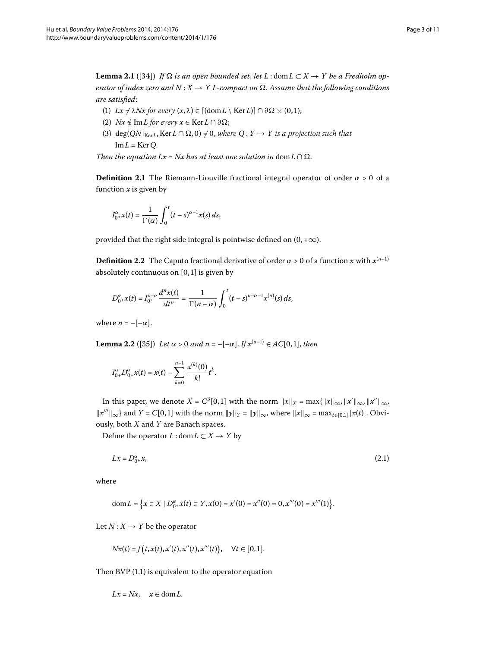<span id="page-2-2"></span>**Lemma 2.1** ([34]) *If*  $\Omega$  *is an open bounded set, let L* : dom  $L \subset X \rightarrow Y$  *be a Fredholm operator of index zero and*  $N: X \to Y$  *L*-compact on  $\overline{\Omega}$ . Assume that the following conditions *are satisfied*:

- (1)  $Lx \neq \lambda Nx$  *for every*  $(x, \lambda) \in [(\text{dom } L \setminus \text{Ker } L)] \cap \partial \Omega \times (0, 1);$
- (2) *Nx*  $\notin$  Im*L for every*  $x \in$  Ker  $L \cap \partial \Omega$ ;
- (3)  $deg(QN|_{KerL}, Ker L \cap \Omega, 0) \neq 0$ , where  $Q: Y \rightarrow Y$  is a projection such that  $Im L = Ker Q$ .

*Then the equation Lx* = *Nx has at least one solution in* dom  $L \cap \overline{\Omega}$ .

**Definition 2.1** The Riemann-Liouville fractional integral operator of order  $\alpha > 0$  of a function  $x$  is given by

$$
I_{0^+}^{\alpha}x(t)=\frac{1}{\Gamma(\alpha)}\int_0^t(t-s)^{\alpha-1}x(s)\,ds,
$$

provided that the right side integral is pointwise defined on  $(0, +\infty)$ .

<span id="page-2-1"></span>**Definition 2.2** The Caputo fractional derivative of order  $\alpha > 0$  of a function *x* with  $x^{(n-1)}$ absolutely continuous on  $[0, 1]$  is given by

$$
D_{0^+}^{\alpha}x(t) = I_{0^+}^{n-\alpha}\frac{d^n x(t)}{dt^n} = \frac{1}{\Gamma(n-\alpha)}\int_0^t (t-s)^{n-\alpha-1}x^{(n)}(s)\,ds,
$$

where  $n = -[-\alpha]$ .

**Lemma 2.2** ([35[\]](#page-10-7)) *Let*  $\alpha > 0$  *and*  $n = -[-\alpha]$ . *If*  $x^{(n-1)} \in AC[0, 1]$ , *then* 

$$
I_{0+}^{\alpha}D_{0+}^{\alpha}x(t)=x(t)-\sum_{k=0}^{n-1}\frac{x^{(k)}(0)}{k!}t^{k}.
$$

<span id="page-2-0"></span>In this paper, we denote  $X = C^3[0,1]$  with the norm  $||x||_X = \max{||x||_{\infty}, ||x'||_{\infty}, ||x'||_{\infty}}$  $||x'''||_{\infty}$ } and *Y* = *C*[0,1] with the norm  $||y||_Y = ||y||_{\infty}$ , where  $||x||_{\infty} = \max_{t \in [0,1]} |x(t)|$ . Obviously, both *X* and *Y* are Banach spaces.

Define the operator *L* : dom  $L \subset X \rightarrow Y$  by

$$
Lx = D_{0}^{\alpha} + x,\tag{2.1}
$$

where

$$
\text{dom}\,L = \big\{x \in X \mid D_{0^+}^{\alpha}x(t) \in Y, x(0) = x'(0) = x''(0) = 0, x'''(0) = x'''(1)\big\}.
$$

Let  $N: X \rightarrow Y$  be the operator

$$
Nx(t) = f(t, x(t), x'(t), x''(t), x'''(t)), \quad \forall t \in [0, 1].
$$

Then BVP  $(1.1)$  is equivalent to the operator equation

$$
Lx = Nx, \quad x \in \text{dom}\, L.
$$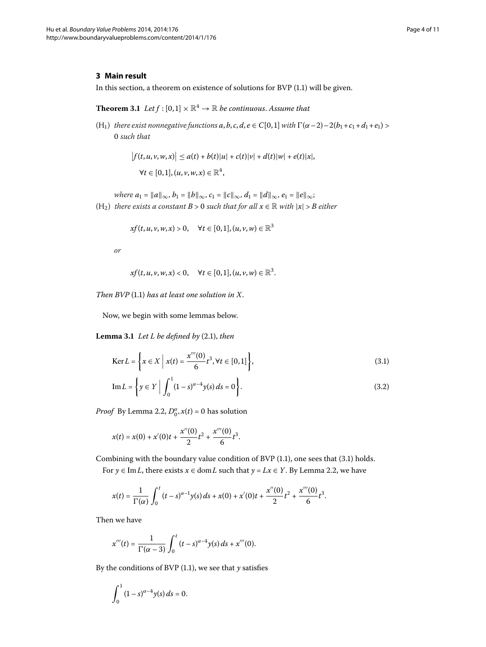### <span id="page-3-3"></span><span id="page-3-0"></span>**3 Main result**

In this section, a theorem on existence of solutions for BVP  $(1.1)$  will be given.

**Theorem 3.1** Let  $f : [0,1] \times \mathbb{R}^4 \to \mathbb{R}$  be continuous. Assume that

(H<sub>1</sub>) *there exist nonnegative functions*  $a, b, c, d, e \in C[0, 1]$  *with*  $\Gamma(\alpha - 2) - 2(b_1 + c_1 + d_1 + e_1)$  > *such that*

$$
|f(t, u, v, w, x)| \le a(t) + b(t)|u| + c(t)|v| + d(t)|w| + e(t)|x|,
$$
  
\n
$$
\forall t \in [0, 1], (u, v, w, x) \in \mathbb{R}^4,
$$

 $where a_1 = ||a||_{\infty}, b_1 = ||b||_{\infty}, c_1 = ||c||_{\infty}, d_1 = ||d||_{\infty}, e_1 = ||e||_{\infty};$ (H<sub>2</sub>) *there exists a constant*  $B > 0$  *such that for all*  $x \in \mathbb{R}$  *with*  $|x| > B$  *either* 

$$
xf(t, u, v, w, x) > 0, \quad \forall t \in [0, 1], (u, v, w) \in \mathbb{R}^3
$$

*or*

<span id="page-3-2"></span><span id="page-3-1"></span>
$$
xf(t, u, v, w, x) < 0, \quad \forall t \in [0, 1], (u, v, w) \in \mathbb{R}^3.
$$

*Then BVP* (1.1) has at least one solution in X.

Now, we begin with some lemmas below.

**Lemma 3.1** Let  $L$  be defined by  $(2.1)$ , then

$$
\text{Ker}\,L = \left\{ x \in X \; \middle| \; x(t) = \frac{x'''(0)}{6}t^3, \forall t \in [0,1] \right\},\tag{3.1}
$$

Im 
$$
L = \left\{ y \in Y \middle| \int_0^1 (1 - s)^{\alpha - 4} y(s) ds = 0 \right\}.
$$
 (3.2)

*Proof* By Lemma 2.2,  $D_{0^+}^{\alpha}x(t) = 0$  has solution

$$
x(t) = x(0) + x'(0)t + \frac{x''(0)}{2}t^{2} + \frac{x'''(0)}{6}t^{3}.
$$

Combining with the boundary value condition of BVP  $(1.1)$  $(1.1)$  $(1.1)$ , one sees that  $(3.1)$  holds. For  $y \in \text{Im } L$ , there exists  $x \in \text{dom } L$  such that  $y = Lx \in Y$ [.](#page-2-1) By Lemma 2.2, we have

$$
x(t) = \frac{1}{\Gamma(\alpha)} \int_0^t (t-s)^{\alpha-1} y(s) \, ds + x(0) + x'(0)t + \frac{x''(0)}{2} t^2 + \frac{x'''(0)}{6} t^3.
$$

Then we have

$$
x'''(t) = \frac{1}{\Gamma(\alpha - 3)} \int_0^t (t - s)^{\alpha - 4} y(s) \, ds + x'''(0).
$$

By the conditions of BVP  $(1.1)$  $(1.1)$  $(1.1)$ , we see that  $y$  satisfies

$$
\int_0^1 (1-s)^{\alpha-4} y(s) \, ds = 0.
$$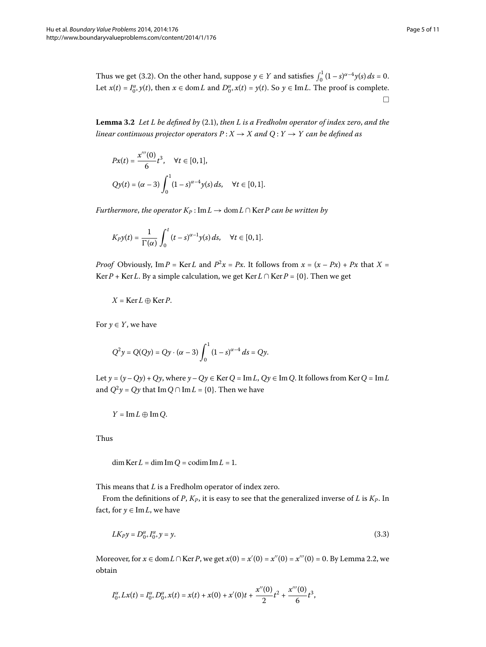<span id="page-4-1"></span>Thus we get (3.2). On the other hand, suppose  $y \in Y$  and satisfies  $\int_0^1 (1-s)^{\alpha-4} y(s) ds = 0$ . Let  $x(t) = I_0^\alpha y(t)$ , then  $x \in \text{dom } L$  and  $D_0^\alpha x(t) = y(t)$ . So  $y \in \text{Im } L$ . The proof is complete.  $\Box$ 

**Lemma 3[.](#page-2-0)2** Let L be defined by (2.1), then L is a Fredholm operator of index zero, and the *linear continuous projector operators*  $P: X \to X$  and  $Q: Y \to Y$  can be defined as

$$
Px(t) = \frac{x'''(0)}{6}t^3, \quad \forall t \in [0, 1],
$$
  
 
$$
Qy(t) = (\alpha - 3) \int_0^1 (1 - s)^{\alpha - 4} y(s) ds, \quad \forall t \in [0, 1].
$$

*Furthermore, the operator*  $K_P$ : Im $L \rightarrow$  dom  $L \cap$  Ker*P can be written by* 

$$
K_P y(t) = \frac{1}{\Gamma(\alpha)} \int_0^t (t-s)^{\alpha-1} y(s) ds, \quad \forall t \in [0,1].
$$

*Proof* Obviously, Im *P* = Ker *L* and  $P^2x = Px$ . It follows from  $x = (x - Px) + Px$  that  $X =$ Ker *P* + Ker *L*. By a simple calculation, we get Ker *L* ∩ Ker *P* = {0}. Then we get

$$
X = \text{Ker}\,L \oplus \text{Ker}\,P.
$$

For  $y \in Y$ , we have

$$
Q^{2}y = Q(Qy) = Qy \cdot (\alpha - 3) \int_{0}^{1} (1 - s)^{\alpha - 4} ds = Qy.
$$

Let  $y = (y - Qy) + Qy$ , where  $y - Qy \in \text{Ker } Q = \text{Im } L$ ,  $Qy \in \text{Im } Q$ . It follows from  $\text{Ker } Q = \text{Im } L$ and  $Q^2y = Qy$  that Im  $Q \cap \text{Im } L = \{0\}$ . Then we have

$$
Y=\operatorname{Im} L\oplus \operatorname{Im} Q.
$$

<span id="page-4-0"></span>Thus

$$
\dim \text{Ker}\, L = \dim \text{Im}\, Q = \text{codim}\, \text{Im}\, L = 1.
$$

This means that *L* is a Fredholm operator of index zero.

From the definitions of  $P$ ,  $K_P$ , it is easy to see that the generalized inverse of  $L$  is  $K_P$ . In fact, for  $y \in \text{Im} L$ , we have

$$
LK_P y = D_0^{\alpha} + I_{0^+}^{\alpha} y = y. \tag{3.3}
$$

Moreover, for *x* ∈ dom *L* ∩ Ker *P*, we get *x*(0) = *x'*(0) = *x''*(0) = *x'''*(0) = 0. By Lemma 2.2, we obtain

$$
I_{0^+}^{\alpha}Lx(t) = I_{0^+}^{\alpha}D_{0^+}^{\alpha}x(t) = x(t) + x(0) + x'(0)t + \frac{x''(0)}{2}t^2 + \frac{x'''(0)}{6}t^3,
$$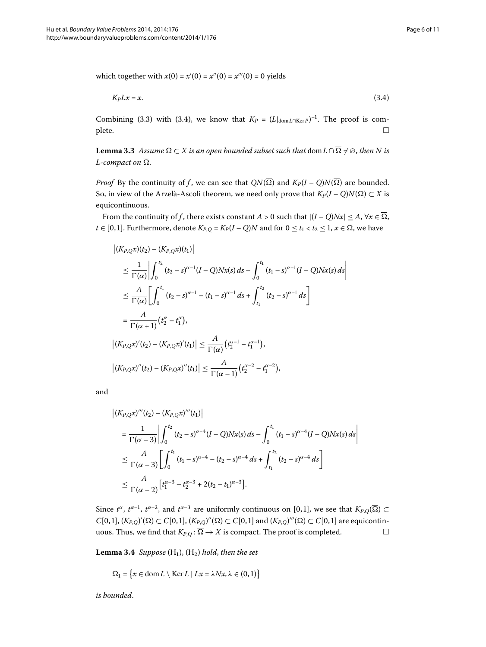<span id="page-5-1"></span><span id="page-5-0"></span>which together with  $x(0) = x'(0) = x''(0) = x'''(0) = 0$  yields

$$
K_P L x = x.\t\t(3.4)
$$

Combining (3.3) with (3.4), we know that  $K_P = (L|_{dom L \cap Ker P})^{-1}$ . The proof is com- $\Box$ 

**Lemma 3.3** Assume  $\Omega \subset X$  is an open bounded subset such that  $\text{dom } L \cap \overline{\Omega} \neq \varnothing$ , then N is *L*-compact on  $\overline{\Omega}$ .

*Proof* By the continuity of *f*, we can see that  $QN(\overline{\Omega})$  and  $K_P(I-Q)N(\overline{\Omega})$  are bounded. So, in view of the Arzelà-Ascoli theorem, we need only prove that  $K_P(I-Q)N(\overline{\Omega}) \subset X$  is equicontinuous.

From the continuity of *f*, there exists constant *A* > 0 such that  $|(I - Q)Nx| \le A$ ,  $\forall x \in \overline{\Omega}$ , *t* ∈ [0,1]. Furthermore, denote  $K_{P,Q} = K_P(I - Q)N$  and for  $0 \le t_1 < t_2 \le 1$ ,  $x \in \overline{\Omega}$ , we have

$$
\begin{split}\n\left| (K_{P,Q}x)(t_2) - (K_{P,Q}x)(t_1) \right| \\
&\leq \frac{1}{\Gamma(\alpha)} \left| \int_0^{t_2} (t_2 - s)^{\alpha - 1} (I - Q) N x(s) \, ds - \int_0^{t_1} (t_1 - s)^{\alpha - 1} (I - Q) N x(s) \, ds \right| \\
&\leq \frac{A}{\Gamma(\alpha)} \left[ \int_0^{t_1} (t_2 - s)^{\alpha - 1} - (t_1 - s)^{\alpha - 1} \, ds + \int_{t_1}^{t_2} (t_2 - s)^{\alpha - 1} \, ds \right] \\
&= \frac{A}{\Gamma(\alpha + 1)} (t_2^{\alpha} - t_1^{\alpha}), \\
\left| (K_{P,Q}x)'(t_2) - (K_{P,Q}x)'(t_1) \right| &\leq \frac{A}{\Gamma(\alpha)} (t_2^{\alpha - 1} - t_1^{\alpha - 1}), \\
\left| (K_{P,Q}x)''(t_2) - (K_{P,Q}x)''(t_1) \right| &\leq \frac{A}{\Gamma(\alpha - 1)} (t_2^{\alpha - 2} - t_1^{\alpha - 2}),\n\end{split}
$$

and

$$
\begin{split} \left| (K_{P,Q}x)'''(t_2) - (K_{P,Q}x)'''(t_1) \right| \\ &= \frac{1}{\Gamma(\alpha - 3)} \left| \int_0^{t_2} (t_2 - s)^{\alpha - 4} (I - Q) N x(s) \, ds - \int_0^{t_1} (t_1 - s)^{\alpha - 4} (I - Q) N x(s) \, ds \right| \\ &\leq \frac{A}{\Gamma(\alpha - 3)} \left[ \int_0^{t_1} (t_1 - s)^{\alpha - 4} - (t_2 - s)^{\alpha - 4} \, ds + \int_{t_1}^{t_2} (t_2 - s)^{\alpha - 4} \, ds \right] \\ &\leq \frac{A}{\Gamma(\alpha - 2)} \left[ t_1^{\alpha - 3} - t_2^{\alpha - 3} + 2(t_2 - t_1)^{\alpha - 3} \right]. \end{split}
$$

<span id="page-5-2"></span>Since  $t^{\alpha}$ ,  $t^{\alpha-1}$ ,  $t^{\alpha-2}$ , and  $t^{\alpha-3}$  are uniformly continuous on [0,1], we see that  $K_{P,Q}(\overline{\Omega}) \subset$  $C[0, 1], (K_{P,Q})'(\Omega) \subset C[0, 1], (K_{P,Q})''(\Omega) \subset C[0, 1]$  and  $(K_{P,Q})'''(\Omega) \subset C[0, 1]$  are equicontinuous. Thus, we find that  $K_{P,Q}$ :  $\overline{\Omega} \to X$  is compact. The proof is completed.  $\Box$ 

**Lemma 3.4** *Suppose*  $(H_1)$ ,  $(H_2)$  *hold, then the set* 

 $\Omega_1 = \{x \in \text{dom}\,L \setminus \text{Ker}\,L \mid Lx = \lambda Nx, \lambda \in (0,1)\}\$ 

*is bounded*.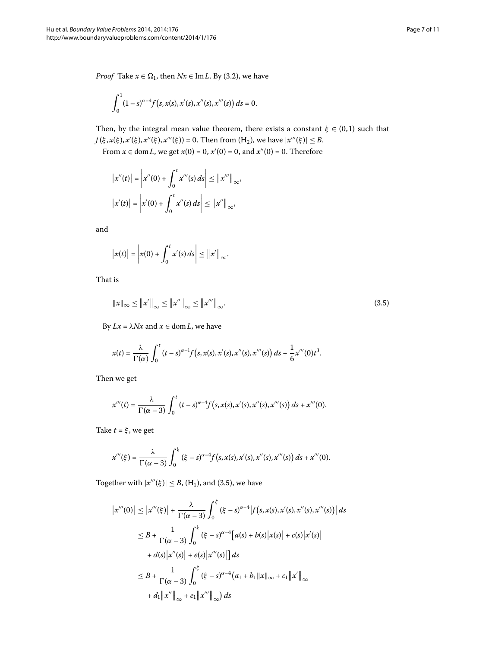*Proof* Take  $x \in \Omega_1$ , then  $Nx \in \text{Im } L$ . By (3.2), we have

$$
\int_0^1 (1-s)^{\alpha-4} f(s, x(s), x'(s), x''(s), x'''(s)) ds = 0.
$$

Then, by the integral mean value theorem, there exists a constant  $\xi \in (0,1)$  such that *f*( $\xi$ ,  $x(\xi)$ ,  $x'(\xi)$ ,  $x''(\xi)$ ,  $x'''(\xi)$ ) = 0. Then from (H<sub>2</sub>), we have  $|x'''(\xi)| \leq B$ .

From  $x \in \text{dom } L$ , we get  $x(0) = 0$ ,  $x'(0) = 0$ , and  $x''(0) = 0$ . Therefore

$$
\begin{aligned} \left| x''(t) \right| &= \left| x''(0) + \int_0^t x'''(s) \, ds \right| \leq \left\| x''' \right\|_{\infty}, \\ \left| x'(t) \right| &= \left| x'(0) + \int_0^t x''(s) \, ds \right| \leq \left\| x'' \right\|_{\infty}, \end{aligned}
$$

<span id="page-6-0"></span>and

$$
\big|x(t)\big|=\bigg|x(0)+\int_0^t x'(s)\,ds\bigg|\leq\big\|x'\big\|_\infty.
$$

That is

$$
\|x\|_{\infty} \le \|x'\|_{\infty} \le \|x''\|_{\infty} \le \|x''''\|_{\infty}.
$$
\n(3.5)

By *Lx* = *λNx* and *x* ∈ dom*L*, we have

$$
x(t) = \frac{\lambda}{\Gamma(\alpha)} \int_0^t (t-s)^{\alpha-1} f(s, x(s), x'(s), x''(s), x'''(s)) ds + \frac{1}{6} x'''(0) t^3.
$$

Then we get

$$
x'''(t) = \frac{\lambda}{\Gamma(\alpha-3)} \int_0^t (t-s)^{\alpha-4} f(s, x(s), x'(s), x''(s), x'''(s)) ds + x'''(0).
$$

Take  $t = \xi$ , we get

$$
x'''(\xi) = \frac{\lambda}{\Gamma(\alpha-3)} \int_0^{\xi} (\xi - s)^{\alpha-4} f(s, x(s), x'(s), x''(s), x'''(s)) ds + x'''(0).
$$

Together with  $|x'''(\xi)| \leq B$ , (H<sub>1</sub>), and (3.5), we have

$$
\begin{split} \left| x'''(0) \right| &\leq \left| x'''(\xi) \right| + \frac{\lambda}{\Gamma(\alpha - 3)} \int_0^{\xi} \left( \xi - s \right)^{\alpha - 4} \left| f \left( s, x(s), x'(s), x''(s), x'''(s) \right) \right| ds \\ &\leq B + \frac{1}{\Gamma(\alpha - 3)} \int_0^{\xi} \left( \xi - s \right)^{\alpha - 4} \left[ a(s) + b(s) \left| x(s) \right| + c(s) \left| x'(s) \right| \\ &\quad + d(s) \left| x''(s) \right| + e(s) \left| x'''(s) \right| \right] ds \\ &\leq B + \frac{1}{\Gamma(\alpha - 3)} \int_0^{\xi} \left( \xi - s \right)^{\alpha - 4} \left( a_1 + b_1 \| x \|_{\infty} + c_1 \| x' \|_{\infty} + d_1 \| x'' \|_{\infty} + e_1 \| x''' \|_{\infty} \right) ds \end{split}
$$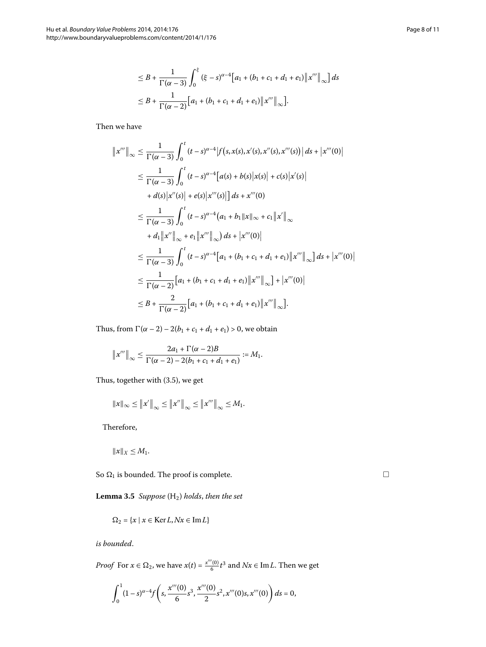$$
\leq B + \frac{1}{\Gamma(\alpha - 3)} \int_0^{\xi} (\xi - s)^{\alpha - 4} [a_1 + (b_1 + c_1 + d_1 + e_1) ||x'''||_{\infty}] ds
$$
  

$$
\leq B + \frac{1}{\Gamma(\alpha - 2)} [a_1 + (b_1 + c_1 + d_1 + e_1) ||x'''||_{\infty}].
$$

Then we have

$$
||x'''||_{\infty} \leq \frac{1}{\Gamma(\alpha-3)} \int_{0}^{t} (t-s)^{\alpha-4} |f(s, x(s), x'(s), x''(s), x'''(s))| ds + |x'''(0)|
$$
  
\n
$$
\leq \frac{1}{\Gamma(\alpha-3)} \int_{0}^{t} (t-s)^{\alpha-4} [a(s) + b(s) |x(s)| + c(s) |x'(s)|
$$
  
\n
$$
+ d(s) |x''(s)| + e(s) |x'''(s)|] ds + x'''(0)
$$
  
\n
$$
\leq \frac{1}{\Gamma(\alpha-3)} \int_{0}^{t} (t-s)^{\alpha-4} (a_1 + b_1 ||x||_{\infty} + c_1 ||x'||_{\infty}
$$
  
\n
$$
+ d_1 ||x''||_{\infty} + e_1 ||x'''||_{\infty} ) ds + |x'''(0)|
$$
  
\n
$$
\leq \frac{1}{\Gamma(\alpha-3)} \int_{0}^{t} (t-s)^{\alpha-4} [a_1 + (b_1 + c_1 + d_1 + e_1) ||x'''||_{\infty} ] ds + |x'''(0)|
$$
  
\n
$$
\leq \frac{1}{\Gamma(\alpha-2)} [a_1 + (b_1 + c_1 + d_1 + e_1) ||x'''||_{\infty}] + |x'''(0)|
$$
  
\n
$$
\leq B + \frac{2}{\Gamma(\alpha-2)} [a_1 + (b_1 + c_1 + d_1 + e_1) ||x'''||_{\infty}].
$$

Thus, from  $\Gamma(\alpha - 2) - 2(b_1 + c_1 + d_1 + e_1) > 0$ , we obtain

$$
||x'''||_{\infty} \leq \frac{2a_1 + \Gamma(\alpha - 2)B}{\Gamma(\alpha - 2) - 2(b_1 + c_1 + d_1 + e_1)} := M_1.
$$

Thus, together with  $(3.5)$ , we get

$$
||x||_{\infty} \le ||x'||_{\infty} \le ||x''||_{\infty} \le ||x'''||_{\infty} \le M_1.
$$

<span id="page-7-0"></span>Therefore,

$$
||x||_X \leq M_1.
$$

So  $\Omega_1$  is bounded. The proof is complete.

Lemma 3.5 Suppose (H<sub>2</sub>) holds, then the set

$$
\Omega_2 = \{x \mid x \in \text{Ker}\, L, Nx \in \text{Im}\, L\}
$$

*is bounded*.

*Proof* For  $x \in \Omega_2$ , we have  $x(t) = \frac{x'''(0)}{6}t^3$  and  $Nx \in \text{Im } L$ . Then we get

$$
\int_0^1 (1-s)^{\alpha-4} f\left(s, \frac{x'''(0)}{6}s^3, \frac{x'''(0)}{2}s^2, x'''(0)s, x'''(0)\right) ds = 0,
$$

 $\Box$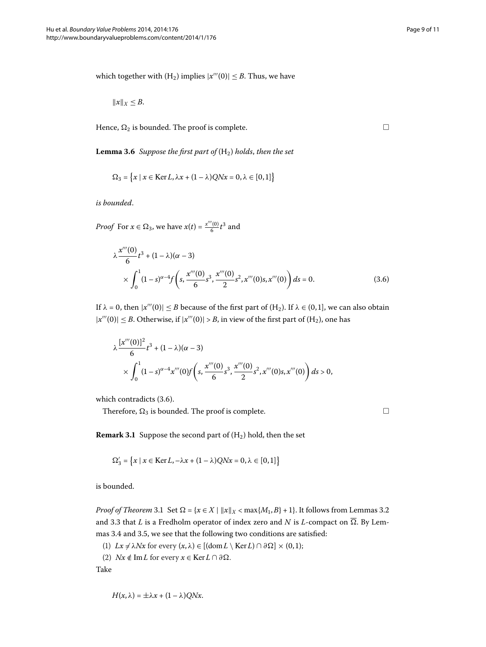<span id="page-8-1"></span>which together with  $(H_2)$  implies  $|x'''(0)| \leq B$ . Thus, we have

$$
||x||_X \leq B.
$$

Hence,  $\Omega_2$  is bounded. The proof is complete.

**Lemma 3.6** Suppose the first part of  $(H_2)$  holds, then the set

$$
\Omega_3 = \left\{ x \mid x \in \text{Ker}\,L, \lambda x + (1 - \lambda)QNx = 0, \lambda \in [0, 1] \right\}
$$

*is bounded*.

*Proof* For  $x \in \Omega_3$ , we have  $x(t) = \frac{x'''(0)}{6}t^3$  and

$$
\lambda \frac{x'''(0)}{6} t^3 + (1 - \lambda)(\alpha - 3)
$$
  
 
$$
\times \int_0^1 (1 - s)^{\alpha - 4} f\left(s, \frac{x'''(0)}{6} s^3, \frac{x'''(0)}{2} s^2, x'''(0) s, x'''(0)\right) ds = 0.
$$
 (3.6)

If  $\lambda = 0$ , then  $|x'''(0)| \leq B$  because of the first part of  $(H_2)$ . If  $\lambda \in (0,1]$ , we can also obtain  $|x'''(0)| \leq B$ . Otherwise, if  $|x'''(0)| > B$ , in view of the first part of (H<sub>2</sub>), one has

<span id="page-8-2"></span>
$$
\lambda \frac{[x'''(0)]^2}{6} t^3 + (1 - \lambda)(\alpha - 3)
$$
  
 
$$
\times \int_0^1 (1 - s)^{\alpha - 4} x'''(0) f\left(s, \frac{x'''(0)}{6} s^3, \frac{x'''(0)}{2} s^2, x'''(0) s, x'''(0)\right) ds > 0,
$$

which contradicts  $(3.6)$  $(3.6)$  $(3.6)$ .

Therefore,  $\Omega_3$  is bounded. The proof is complete.  $\Box$ 

<span id="page-8-0"></span> $\Box$ 

**Remark 3.1** Suppose the second part of  $(H_2)$  hold, then the set

$$
\Omega_3' = \left\{ x \mid x \in \text{Ker}\,L, -\lambda x + (1 - \lambda)QNx = 0, \lambda \in [0, 1] \right\}
$$

is bounded.

*Proof of Theorem* 3[.](#page-4-1)1 Set  $\Omega = \{x \in X \mid ||x||_X < \max\{M_1, B\} + 1\}$ . It follows from Lemmas 3.2 and 3[.](#page-5-1)3 that *L* is a Fredholm operator of index zero and *N* is *L*-compact on  $\overline{\Omega}$ . By Lem-mas 3[.](#page-5-2)4 and 3.5, we see that the following two conditions are satisfied:

- (1)  $Lx \neq \lambda Nx$  for every  $(x, \lambda) \in [(\text{dom } L \setminus \text{Ker } L) \cap \partial \Omega] \times (0, 1);$
- (2)  $Nx \notin \text{Im } L$  for every  $x \in \text{Ker } L \cap \partial \Omega$ .

Take

$$
H(x,\lambda)=\pm\lambda x+(1-\lambda)QNx.
$$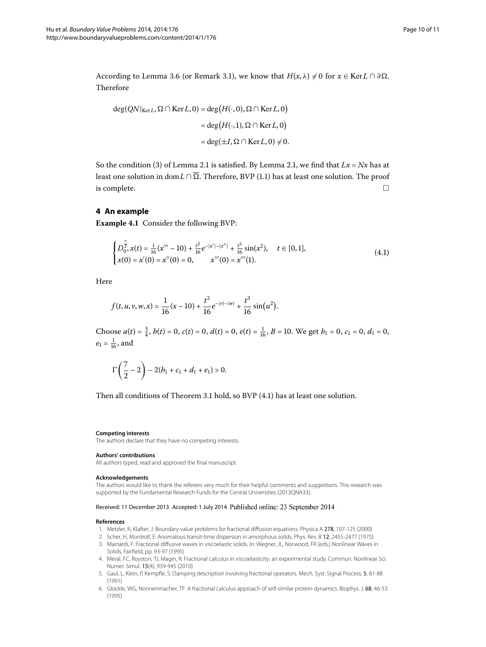According to Lemma 3[.](#page-8-2)6 (or Remark 3.1), we know that  $H(x, \lambda) \neq 0$  for  $x \in \text{Ker } L \cap \partial \Omega$ . Therefore

$$
deg(QN|_{KerL}, \Omega \cap Ker L, 0) = deg(H(\cdot, 0), \Omega \cap Ker L, 0)
$$
  
= deg(H(\cdot, 1), \Omega \cap Ker L, 0)  
= deg(\pm I, \Omega \cap Ker L, 0) \neq 0.

<span id="page-9-5"></span><span id="page-9-4"></span>So the condition (3) of Lemma 2[.](#page-2-2)1 is satisfied. By Lemma 2.1, we find that  $Lx = Nx$  has at least one solution in dom L ∩  $\overline{\Omega}$ [.](#page-1-1) Therefore, BVP (1.1) has at least one solution. The proof is complete.  $\Box$ 

## **4 An example**

**Example 4.1** Consider the following BVP:

$$
\begin{cases} D_{0^{+}}^{\frac{7}{2}}x(t) = \frac{1}{16}(x''' - 10) + \frac{t^{2}}{16}e^{-|x'| - |x''|} + \frac{t^{3}}{16}\sin(x^{2}), \quad t \in [0, 1],\\ x(0) = x'(0) = x''(0) = 0, \qquad x'''(0) = x'''(1). \end{cases}
$$
\n(4.1)

Here

$$
f(t, u, v, w, x) = \frac{1}{16}(x - 10) + \frac{t^2}{16}e^{-|v| - |w|} + \frac{t^3}{16}\sin(u^2).
$$

Choose  $a(t) = \frac{3}{4}$ ,  $b(t) = 0$ ,  $c(t) = 0$ ,  $d(t) = 0$ ,  $e(t) = \frac{1}{16}$ ,  $B = 10$ . We get  $b_1 = 0$ ,  $c_1 = 0$ ,  $d_1 = 0$ ,  $e_1 = \frac{1}{16}$ , and

$$
\Gamma\left(\frac{7}{2}-2\right)-2(b_1+c_1+d_1+e_1)>0.
$$

Then all conditions of Theorem 3[.](#page-9-5)1 hold, so BVP  $(4.1)$  has at least one solution.

#### **Competing interests**

The authors declare that they have no competing interests.

#### <span id="page-9-0"></span>**Authors' contributions**

<span id="page-9-2"></span><span id="page-9-1"></span>All authors typed, read and approved the final manuscript.

#### **Acknowledgements**

<span id="page-9-3"></span>The authors would like to thank the referees very much for their helpful comments and suggestions. This research was supported by the Fundamental Research Funds for the Central Universities (2013QNA33).

#### Received: 11 December 2013 Accepted: 1 July 2014 Published online: 23 September 2014

#### **References**

- 1. Metzler, R, Klafter, J: Boundary value problems for fractional diffusion equations. Physica A 278, 107-125 (2000)
- 2. Scher, H, Montroll, E: Anomalous transit-time dispersion in amorphous solids. Phys. Rev. B 12, 2455-2477 (1975)
- 3. Mainardi, F: Fractional diffusive waves in viscoelastic solids. In: Wegner, JL, Norwood, FR (eds.) Nonlinear Waves in Solids, Fairfield, pp. 93-97 (1995)
- 4. Meral, FC, Royston, TJ, Magin, R: Fractional calculus in viscoelasticity: an experimental study. Commun. Nonlinear Sci. Numer. Simul. 15(4), 939-945 (2010)
- 5. Gaul, L, Klein, P, Kempfle, S: Damping description involving fractional operators. Mech. Syst. Signal Process. 5, 81-88 (1991)
- 6. Glockle, WG, Nonnenmacher, TF: A fractional calculus approach of self-similar protein dynamics. Biophys. J. 68, 46-53 (1995)